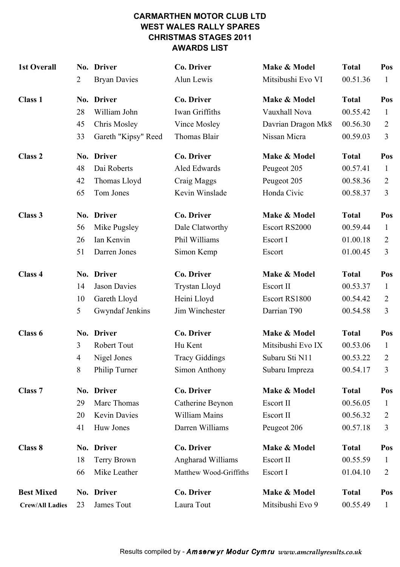#### CARMARTHEN MOTOR CLUB LTD WEST WALES RALLY SPARES CHRISTMAS STAGES 2011 AWARDS LIST

| <b>1st Overall</b>     |    | No. Driver          | Co. Driver               | Make & Model       | <b>Total</b> | Pos            |
|------------------------|----|---------------------|--------------------------|--------------------|--------------|----------------|
|                        | 2  | <b>Bryan Davies</b> | Alun Lewis               | Mitsibushi Evo VI  | 00.51.36     | 1              |
| <b>Class 1</b>         |    | No. Driver          | <b>Co. Driver</b>        | Make & Model       | <b>Total</b> | Pos            |
|                        | 28 | William John        | Iwan Griffiths           | Vauxhall Nova      | 00.55.42     | 1              |
|                        | 45 | Chris Mosley        | Vince Mosley             | Davrian Dragon Mk8 | 00.56.30     | $\overline{2}$ |
|                        | 33 | Gareth "Kipsy" Reed | Thomas Blair             | Nissan Micra       | 00.59.03     | $\overline{3}$ |
| <b>Class 2</b>         |    | No. Driver          | <b>Co. Driver</b>        | Make & Model       | <b>Total</b> | Pos            |
|                        | 48 | Dai Roberts         | Aled Edwards             | Peugeot 205        | 00.57.41     | $\mathbf{1}$   |
|                        | 42 | Thomas Lloyd        | Craig Maggs              | Peugeot 205        | 00.58.36     | $\overline{2}$ |
|                        | 65 | Tom Jones           | Kevin Winslade           | Honda Civic        | 00.58.37     | $\overline{3}$ |
| Class 3                |    | No. Driver          | <b>Co. Driver</b>        | Make & Model       | <b>Total</b> | Pos            |
|                        | 56 | Mike Pugsley        | Dale Clatworthy          | Escort RS2000      | 00.59.44     | $\mathbf{1}$   |
|                        | 26 | Ian Kenvin          | Phil Williams            | Escort I           | 01.00.18     | $\overline{2}$ |
|                        | 51 | Darren Jones        | Simon Kemp               | Escort             | 01.00.45     | 3              |
| Class 4                |    | No. Driver          | Co. Driver               | Make & Model       | <b>Total</b> | Pos            |
|                        | 14 | <b>Jason Davies</b> | Trystan Lloyd            | Escort II          | 00.53.37     | $\mathbf{1}$   |
|                        | 10 | Gareth Lloyd        | Heini Lloyd              | Escort RS1800      | 00.54.42     | $\overline{2}$ |
|                        | 5  | Gwyndaf Jenkins     | Jim Winchester           | Darrian T90        | 00.54.58     | $\overline{3}$ |
| Class 6                |    | No. Driver          | <b>Co. Driver</b>        | Make & Model       | <b>Total</b> | Pos            |
|                        | 3  | <b>Robert Tout</b>  | Hu Kent                  | Mitsibushi Evo IX  | 00.53.06     | $\mathbf{1}$   |
|                        | 4  | Nigel Jones         | <b>Tracy Giddings</b>    | Subaru Sti N11     | 00.53.22     | 2              |
|                        | 8  | Philip Turner       | Simon Anthony            | Subaru Impreza     | 00.54.17     | 3              |
| <b>Class 7</b>         |    | No. Driver          | Co. Driver               | Make & Model       | <b>Total</b> | Pos            |
|                        | 29 | Marc Thomas         | Catherine Beynon         | Escort II          | 00.56.05     | $\mathbf{1}$   |
|                        | 20 | Kevin Davies        | William Mains            | Escort II          | 00.56.32     | 2              |
|                        | 41 | Huw Jones           | Darren Williams          | Peugeot 206        | 00.57.18     | 3              |
| Class 8                |    | No. Driver          | Co. Driver               | Make & Model       | <b>Total</b> | Pos            |
|                        | 18 | Terry Brown         | <b>Angharad Williams</b> | Escort II          | 00.55.59     | 1              |
|                        | 66 | Mike Leather        | Matthew Wood-Griffiths   | Escort I           | 01.04.10     | $\overline{2}$ |
| <b>Best Mixed</b>      |    | No. Driver          | Co. Driver               | Make & Model       | <b>Total</b> | Pos            |
| <b>Crew/All Ladies</b> | 23 | James Tout          | Laura Tout               | Mitsibushi Evo 9   | 00.55.49     | $\mathbf{1}$   |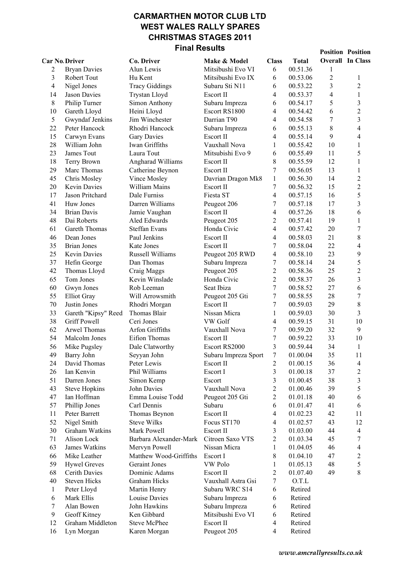### CARMARTHEN MOTOR CLUB LTD WEST WALES RALLY SPARES CHRISTMAS STAGES 2011 Final Results

|                      |                                     |                                | .                    |                |                      |                | <b>Position Position</b> |
|----------------------|-------------------------------------|--------------------------------|----------------------|----------------|----------------------|----------------|--------------------------|
| <b>Car No Driver</b> |                                     | Co. Driver                     | Make & Model         | <b>Class</b>   | <b>Total</b>         |                | <b>Overall In Class</b>  |
| 2                    | <b>Bryan Davies</b>                 | Alun Lewis                     | Mitsibushi Evo VI    | 6              | 00.51.36             | $\mathbf{1}$   |                          |
| 3                    | Robert Tout                         | Hu Kent                        | Mitsibushi Evo IX    | 6              | 00.53.06             | $\overline{c}$ | $\mathbf{1}$             |
| $\overline{4}$       | Nigel Jones                         | <b>Tracy Giddings</b>          | Subaru Sti N11       | 6              | 00.53.22             | 3              | $\overline{c}$           |
| 14                   | Jason Davies                        | Trystan Lloyd                  | Escort II            | 4              | 00.53.37             | $\overline{4}$ | $\,1\,$                  |
| $8\,$                | Philip Turner                       | Simon Anthony                  | Subaru Impreza       | 6              | 00.54.17             | 5              | $\overline{\mathbf{3}}$  |
| 10                   | Gareth Lloyd                        | Heini Lloyd                    | Escort RS1800        | 4              | 00.54.42             | 6              | $\overline{c}$           |
| 5                    | Gwyndaf Jenkins                     | Jim Winchester                 | Darrian T90          | 4              | 00.54.58             | $\overline{7}$ | $\overline{3}$           |
| 22                   | Peter Hancock                       | Rhodri Hancock                 | Subaru Impreza       | 6              | 00.55.13             | $\,8\,$        | $\overline{4}$           |
| 15                   | Carwyn Evans                        | <b>Gary Davies</b>             | Escort II            | 4              | 00.55.14             | 9              | $\overline{\mathbf{4}}$  |
| 28                   | William John                        | Iwan Griffiths                 | Vauxhall Nova        | $\mathbf{1}$   | 00.55.42             | 10             | $\mathbf{1}$             |
| 23                   | James Tout                          | Laura Tout                     | Mitsubishi Evo 9     | 6              | 00.55.49             | 11             | 5                        |
| 18                   | Terry Brown                         | Angharad Williams              | Escort II            | 8              | 00.55.59             | 12             | $\,1\,$                  |
| 29                   | Marc Thomas                         | Catherine Beynon               | Escort II            | 7              | 00.56.05             | 13             | $\mathbf{1}$             |
| 45                   | Chris Mosley                        | Vince Mosley                   | Davrian Dragon Mk8   | $\mathbf{1}$   | 00.56.30             | 14             | $\overline{c}$           |
| 20                   | Kevin Davies                        | William Mains                  | Escort II            | 7              | 00.56.32             | 15             | $\overline{c}$           |
| 17                   | Jason Pritchard                     | Dale Furniss                   | Fiesta ST            | 4              | 00.57.15             | 16             | 5                        |
| 41                   | Huw Jones                           | Darren Williams                | Peugeot 206          | 7              | 00.57.18             | 17             | 3                        |
| 34                   | <b>Brian Davis</b>                  | Jamie Vaughan                  | Escort II            | 4              | 00.57.26             | 18             | 6                        |
| 48                   | Dai Roberts                         | Aled Edwards                   | Peugeot 205          | 2              | 00.57.41             | 19             | $\mathbf{1}$             |
| 61                   | Gareth Thomas                       | <b>Steffan Evans</b>           | Honda Civic          | 4              | 00.57.42             | 20             | $\overline{7}$           |
| 46                   | Dean Jones                          | Paul Jenkins                   | Escort II            | 4              | 00.58.03             | 21             | 8                        |
| 35                   | <b>Brian Jones</b>                  | Kate Jones                     | Escort II            | 7              | 00.58.04             | 22             | $\overline{\mathbf{4}}$  |
| 25                   | Kevin Davies                        | Russell Williams               | Peugeot 205 RWD      | 4              | 00.58.10             | 23             | 9                        |
| 37                   | Hefin George                        | Dan Thomas                     | Subaru Impreza       | 7              | 00.58.14             | 24             | 5                        |
| 42                   | Thomas Lloyd                        | Craig Maggs                    | Peugeot 205          | $\overline{c}$ | 00.58.36             | 25             | $\overline{c}$           |
| 65                   | Tom Jones                           | Kevin Winslade                 | Honda Civic          | $\overline{c}$ | 00.58.37             | 26             | 3                        |
| 60                   | Gwyn Jones                          | Rob Leeman                     | Seat Ibiza           | 7              | 00.58.52             | 27             | 6                        |
| 55                   | <b>Elliot Gray</b>                  | Will Arrowsmith                | Peugeot 205 Gti      | $\overline{7}$ | 00.58.55             | 28             | $\boldsymbol{7}$         |
| 70                   | Justin Jones                        | Rhodri Morgan                  | Escort II            | 7              | 00.59.03             | 29             | 8                        |
| 33                   | Gareth "Kipsy" Reed                 | Thomas Blair                   | Nissan Micra         | 1              | 00.59.03             | 30             | 3                        |
| 38                   | <b>Griff Powell</b>                 | Ceri Jones                     | VW Golf              | 4              | 00.59.15             | 31             | 10                       |
| 62                   | Arwel Thomas                        | Arfon Griffiths                | Vauxhall Nova        |                | 00.59.20             | 32             | 9                        |
| 54                   | Malcolm Jones                       | Eifion Thomas                  | Escort II            | 7<br>7         | 00.59.22             | 33             | 10                       |
| 56                   |                                     |                                | Escort RS2000        | 3              |                      | 34             | $\mathbf{1}$             |
|                      | Mike Pugsley<br>Barry John          | Dale Clatworthy<br>Seyyan John |                      |                | 00.59.44<br>01.00.04 | 35             |                          |
| 49                   |                                     |                                | Subaru Impreza Sport | 7              |                      |                | 11                       |
| 24                   | David Thomas                        | Peter Lewis<br>Phil Williams   | Escort II            | 2              | 01.00.15<br>01.00.18 | 36             | 4                        |
| 26                   | Ian Kenvin                          |                                | Escort I             | 3              |                      | 37<br>38       | $\mathbf{2}$             |
| 51                   | Darren Jones                        | Simon Kemp                     | Escort               | 3              | 01.00.45             |                | 3                        |
| 43                   | <b>Steve Hopkins</b><br>Ian Hoffman | John Davies                    | Vauxhall Nova        | $\overline{c}$ | 01.00.46             | 39             | 5<br>6                   |
| 47                   | Phillip Jones                       | Emma Louise Todd               | Peugeot 205 Gti      | $\overline{c}$ | 01.01.18             | 40             | 6                        |
| 57                   | Peter Barrett                       | Carl Dennis                    | Subaru               | 6              | 01.01.47             | 41             |                          |
| 11                   |                                     | Thomas Beynon                  | Escort II            | 4              | 01.02.23             | 42             | 11                       |
| 52                   | Nigel Smith                         | <b>Steve Wilks</b>             | Focus ST170          | 4              | 01.02.57             | 43             | 12                       |
| 30                   | Graham Watkins                      | Mark Powell                    | Escort II            | 3              | 01.03.00             | 44             | $\overline{4}$           |
| 71                   | Alison Lock                         | Barbara Alexander-Mark         | Citroen Saxo VTS     | 2              | 01.03.34             | 45             | 7                        |
| 63                   | James Watkins                       | Mervyn Powell                  | Nissan Micra         | 1              | 01.04.05             | 46             | $\overline{4}$           |
| 66                   | Mike Leather                        | Matthew Wood-Griffiths         | Escort I             | 8              | 01.04.10             | 47             | $\mathbf{2}$             |
| 59                   | <b>Hywel Greves</b>                 | Geraint Jones                  | VW Polo              | 1              | 01.05.13             | 48             | 5                        |
| 68                   | Cerith Davies                       | Dominic Adams                  | Escort II            | 2              | 01.07.40             | 49             | 8                        |
| 40                   | <b>Steven Hicks</b>                 | Graham Hicks                   | Vauxhall Astra Gsi   | 7              | O.T.L                |                |                          |
| $\mathbf{1}$         | Peter Lloyd                         | Martin Henry                   | Subaru WRC S14       | 6              | Retired              |                |                          |
| 6                    | Mark Ellis                          | Louise Davies                  | Subaru Impreza       | 6              | Retired              |                |                          |
| $\tau$               | Alan Bowen                          | John Hawkins                   | Subaru Impreza       | 6              | Retired              |                |                          |
| 9                    | Geoff Kitney                        | Ken Gibbard                    | Mitsibushi Evo VI    | 6              | Retired              |                |                          |
| 12                   | Graham Middleton                    | <b>Steve McPhee</b>            | Escort II            | 4              | Retired              |                |                          |
| 16                   | Lyn Morgan                          | Karen Morgan                   | Peugeot 205          | 4              | Retired              |                |                          |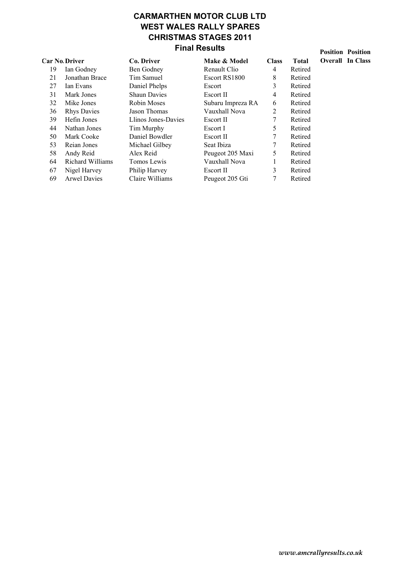## CARMARTHEN MOTOR CLUB LTD WEST WALES RALLY SPARES CHRISTMAS STAGES 2011 Final Results

|    | <b>Car No Driver</b> | Co. Driver          | Make & Model      | <b>Class</b> | <b>Total</b> | Overall |
|----|----------------------|---------------------|-------------------|--------------|--------------|---------|
| 19 | Ian Godney           | Ben Godney          | Renault Clio      | 4            | Retired      |         |
| 21 | Jonathan Brace       | Tim Samuel          | Escort RS1800     | 8            | Retired      |         |
| 27 | Ian Evans            | Daniel Phelps       | Escort            | 3            | Retired      |         |
| 31 | Mark Jones           | <b>Shaun Davies</b> | Escort II         | 4            | Retired      |         |
| 32 | Mike Jones           | Robin Moses         | Subaru Impreza RA | 6            | Retired      |         |
| 36 | <b>Rhys Davies</b>   | Jason Thomas        | Vauxhall Nova     | 2            | Retired      |         |
| 39 | Hefin Jones          | Llinos Jones-Davies | Escort II         | 7            | Retired      |         |
| 44 | Nathan Jones         | Tim Murphy          | Escort I          | 5            | Retired      |         |
| 50 | Mark Cooke           | Daniel Bowdler      | Escort II         |              | Retired      |         |
| 53 | Reian Jones          | Michael Gilbey      | Seat Ibiza        |              | Retired      |         |
| 58 | Andy Reid            | Alex Reid           | Peugeot 205 Maxi  | 5            | Retired      |         |
| 64 | Richard Williams     | Tomos Lewis         | Vauxhall Nova     |              | Retired      |         |
| 67 | Nigel Harvey         | Philip Harvey       | Escort II         | 3            | Retired      |         |
| 69 | <b>Arwel Davies</b>  | Claire Williams     | Peugeot 205 Gti   | 7            | Retired      |         |
|    |                      |                     |                   |              |              |         |

Position Position In Class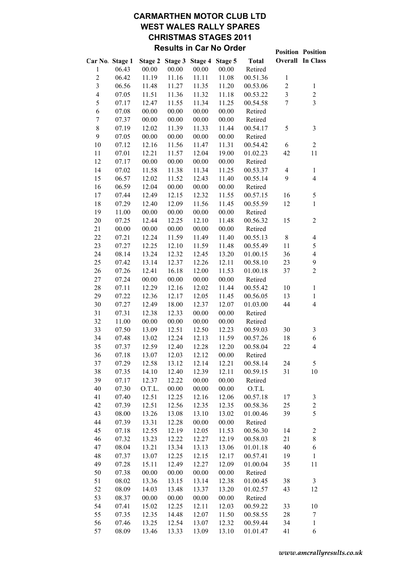# CARMARTHEN MOTOR CLUB LTD WEST WALES RALLY SPARES CHRISTMAS STAGES 2011 Results in Car No Order<br>
Position Position

|                         |       |        |                 |         |         |              |                          | <b>FOSILION FOSILION</b> |
|-------------------------|-------|--------|-----------------|---------|---------|--------------|--------------------------|--------------------------|
| Car No. Stage 1         |       |        | Stage 2 Stage 3 | Stage 4 | Stage 5 | <b>Total</b> |                          | <b>Overall In Class</b>  |
| 1                       | 06.43 | 00.00  | 00.00           | 00.00   | 00.00   | Retired      |                          |                          |
| $\overline{c}$          | 06.42 | 11.19  | 11.16           | 11.11   | 11.08   | 00.51.36     | $\mathbf{1}$             |                          |
| $\overline{3}$          | 06.56 | 11.48  | 11.27           | 11.35   | 11.20   | 00.53.06     | $\boldsymbol{2}$         | $\mathbf{1}$             |
| $\overline{\mathbf{4}}$ | 07.05 | 11.51  | 11.36           | 11.32   | 11.18   | 00.53.22     | $\overline{3}$           | $\overline{c}$           |
| 5                       | 07.17 | 12.47  | 11.55           | 11.34   | 11.25   | 00.54.58     | $\overline{7}$           | $\overline{3}$           |
| 6                       | 07.08 | 00.00  | 00.00           | 00.00   | 00.00   | Retired      |                          |                          |
| $\boldsymbol{7}$        | 07.37 | 00.00  | 00.00           | 00.00   | 00.00   | Retired      |                          |                          |
| 8                       | 07.19 | 12.02  | 11.39           | 11.33   | 11.44   | 00.54.17     | 5                        | 3                        |
| 9                       | 07.05 | 00.00  | 00.00           | 00.00   | 00.00   | Retired      |                          |                          |
| 10                      | 07.12 | 12.16  | 11.56           | 11.47   | 11.31   | 00.54.42     | 6                        | $\mathbf{2}$             |
| 11                      | 07.01 | 12.21  | 11.57           | 12.04   | 19.00   | 01.02.23     | 42                       | 11                       |
| 12                      | 07.17 | 00.00  | 00.00           | 00.00   | 00.00   | Retired      |                          |                          |
| 14                      | 07.02 | 11.58  | 11.38           | 11.34   | 11.25   | 00.53.37     | $\overline{\mathcal{A}}$ | $\mathbf{1}$             |
| 15                      | 06.57 | 12.02  | 11.52           | 12.43   | 11.40   | 00.55.14     | 9                        | $\overline{4}$           |
| 16                      | 06.59 | 12.04  | 00.00           | 00.00   | 00.00   | Retired      |                          |                          |
| 17                      | 07.44 | 12.49  | 12.15           | 12.32   | 11.55   | 00.57.15     | 16                       | 5                        |
| 18                      | 07.29 | 12.40  | 12.09           | 11.56   | 11.45   | 00.55.59     | 12                       | $\mathbf{1}$             |
| 19                      | 11.00 | 00.00  | 00.00           | 00.00   | 00.00   | Retired      |                          |                          |
| 20                      | 07.25 | 12.44  | 12.25           | 12.10   | 11.48   | 00.56.32     | 15                       | $\sqrt{2}$               |
| 21                      | 00.00 | 00.00  | 00.00           | 00.00   | 00.00   | Retired      |                          |                          |
| 22                      | 07.21 | 12.24  | 11.59           | 11.49   | 11.40   | 00.55.13     | $\,8\,$                  | $\overline{4}$           |
| 23                      | 07.27 | 12.25  | 12.10           | 11.59   | 11.48   | 00.55.49     | 11                       | 5                        |
| 24                      |       |        |                 |         |         |              |                          | $\overline{4}$           |
|                         | 08.14 | 13.24  | 12.32           | 12.45   | 13.20   | 01.00.15     | 36                       | 9                        |
| 25                      | 07.42 | 13.14  | 12.37           | 12.26   | 12.11   | 00.58.10     | 23                       | $\overline{2}$           |
| 26                      | 07.26 | 12.41  | 16.18           | 12.00   | 11.53   | 01.00.18     | 37                       |                          |
| 27                      | 07.24 | 00.00  | 00.00           | 00.00   | 00.00   | Retired      |                          |                          |
| 28                      | 07.11 | 12.29  | 12.16           | 12.02   | 11.44   | 00.55.42     | 10                       | $\mathbf{1}$             |
| 29                      | 07.22 | 12.36  | 12.17           | 12.05   | 11.45   | 00.56.05     | 13                       | $\mathbf{1}$             |
| 30                      | 07.27 | 12.49  | 18.00           | 12.37   | 12.07   | 01.03.00     | 44                       | $\overline{\mathbf{4}}$  |
| 31                      | 07.31 | 12.38  | 12.33           | 00.00   | 00.00   | Retired      |                          |                          |
| 32                      | 11.00 | 00.00  | 00.00           | 00.00   | 00.00   | Retired      |                          |                          |
| 33                      | 07.50 | 13.09  | 12.51           | 12.50   | 12.23   | 00.59.03     | 30                       | $\mathfrak{Z}$           |
| 34                      | 07.48 | 13.02  | 12.24           | 12.13   | 11.59   | 00.57.26     | 18                       | 6                        |
| 35                      | 07.37 | 12.59  | 12.40           | 12.28   | 12.20   | 00.58.04     | 22                       | $\overline{4}$           |
| 36                      | 07.18 | 13.07  | 12.03           | 12.12   | 00.00   | Retired      |                          |                          |
| 37                      | 07.29 | 12.58  | 13.12           | 12.14   | 12.21   | 00.58.14     | 24                       | 5                        |
| 38                      | 07.35 | 14.10  | 12.40           | 12.39   | 12.11   | 00.59.15     | 31                       | 10                       |
| 39                      | 07.17 | 12.37  | 12.22           | 00.00   | 00.00   | Retired      |                          |                          |
| 40                      | 07.30 | O.T.L. | 00.00           | 00.00   | 00.00   | O.T.L        |                          |                          |
| 41                      | 07.40 | 12.51  | 12.25           | 12.16   | 12.06   | 00.57.18     | 17                       | 3                        |
| 42                      | 07.39 | 12.51  | 12.56           | 12.35   | 12.35   | 00.58.36     | 25                       | $\overline{c}$           |
| 43                      | 08.00 | 13.26  | 13.08           | 13.10   | 13.02   | 01.00.46     | 39                       | 5                        |
| 44                      | 07.39 | 13.31  | 12.28           | 00.00   | 00.00   | Retired      |                          |                          |
| 45                      | 07.18 | 12.55  | 12.19           | 12.05   | 11.53   | 00.56.30     | 14                       | $\mathbf{2}$             |
| 46                      | 07.32 | 13.23  | 12.22           | 12.27   | 12.19   | 00.58.03     | 21                       | 8                        |
| 47                      | 08.04 | 13.21  | 13.34           | 13.13   | 13.06   | 01.01.18     | 40                       | 6                        |
| 48                      | 07.37 | 13.07  | 12.25           | 12.15   | 12.17   | 00.57.41     | 19                       | $\mathbf{1}$             |
| 49                      | 07.28 | 15.11  | 12.49           | 12.27   | 12.09   | 01.00.04     | 35                       | 11                       |
| 50                      | 07.38 | 00.00  | 00.00           | 00.00   | 00.00   | Retired      |                          |                          |
| 51                      | 08.02 | 13.36  | 13.15           | 13.14   | 12.38   | 01.00.45     | 38                       | 3                        |
| 52                      | 08.09 | 14.03  | 13.48           | 13.37   | 13.20   | 01.02.57     | 43                       | 12                       |
| 53                      | 08.37 | 00.00  | 00.00           | 00.00   | 00.00   | Retired      |                          |                          |
| 54                      | 07.41 | 15.02  | 12.25           | 12.11   | 12.03   | 00.59.22     | 33                       | 10                       |
| 55                      | 07.35 | 12.35  | 14.48           | 12.07   | 11.50   | 00.58.55     | 28                       | $\tau$                   |
| 56                      | 07.46 | 13.25  | 12.54           | 13.07   | 12.32   | 00.59.44     | 34                       | $\mathbf{1}$             |
| 57                      | 08.09 | 13.46  | 13.33           | 13.09   | 13.10   | 01.01.47     | 41                       | 6                        |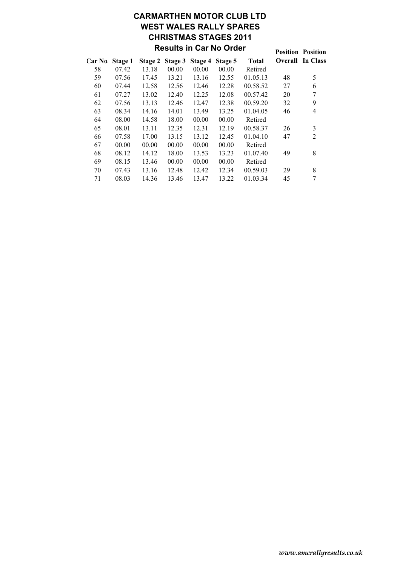# CARMARTHEN MOTOR CLUB LTD WEST WALES RALLY SPARES CHRISTMAS STAGES 2011 Results in Car No Order

| ושט טור ישר ווו טאטוונ |       |       |                 |         |         |              |    | <b>Position Position</b> |
|------------------------|-------|-------|-----------------|---------|---------|--------------|----|--------------------------|
| Car No. Stage 1        |       |       | Stage 2 Stage 3 | Stage 4 | Stage 5 | <b>Total</b> |    | <b>Overall</b> In Class  |
| 58                     | 07.42 | 13.18 | 00.00           | 00.00   | 00.00   | Retired      |    |                          |
| 59                     | 07.56 | 17.45 | 13.21           | 13.16   | 12.55   | 01.05.13     | 48 | 5                        |
| 60                     | 07.44 | 12.58 | 12.56           | 12.46   | 12.28   | 00.58.52     | 27 | 6                        |
| 61                     | 07.27 | 13.02 | 12.40           | 12.25   | 12.08   | 00.57.42     | 20 | 7                        |
| 62                     | 07.56 | 13.13 | 12.46           | 12.47   | 12.38   | 00.59.20     | 32 | 9                        |
| 63                     | 08.34 | 14.16 | 14.01           | 13.49   | 13.25   | 01.04.05     | 46 | $\overline{4}$           |
| 64                     | 08.00 | 14.58 | 18.00           | 00.00   | 00.00   | Retired      |    |                          |
| 65                     | 08.01 | 13.11 | 12.35           | 12.31   | 12.19   | 00.58.37     | 26 | 3                        |
| 66                     | 07.58 | 17.00 | 13.15           | 13.12   | 12.45   | 01.04.10     | 47 | $\overline{2}$           |
| 67                     | 00.00 | 00.00 | 00.00           | 00.00   | 00.00   | Retired      |    |                          |
| 68                     | 08.12 | 14.12 | 18.00           | 13.53   | 13.23   | 01.07.40     | 49 | 8                        |
| 69                     | 08.15 | 13.46 | 00.00           | 00.00   | 00.00   | Retired      |    |                          |
| 70                     | 07.43 | 13.16 | 12.48           | 12.42   | 12.34   | 00.59.03     | 29 | 8                        |
| 71                     | 08.03 | 14.36 | 13.46           | 13.47   | 13.22   | 01.03.34     | 45 | 7                        |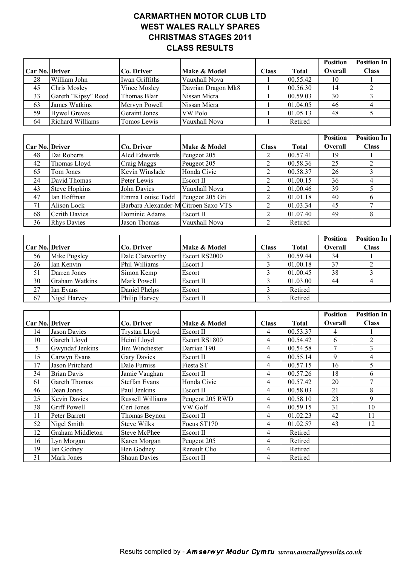### CARMARTHEN MOTOR CLUB LTD WEST WALES RALLY SPARES CHRISTMAS STAGES 2011 CLASS RESULTS

|                 |                         |                                      |                    |                          |                       | <b>Position</b>         | <b>Position In</b> |
|-----------------|-------------------------|--------------------------------------|--------------------|--------------------------|-----------------------|-------------------------|--------------------|
| Car No. Driver  |                         | Co. Driver                           | Make & Model       | <b>Class</b>             | <b>Total</b>          | Overall                 | <b>Class</b>       |
| 28              | William John            | Iwan Griffiths                       | Vauxhall Nova      | 1                        | 00.55.42              | 10                      | 1                  |
| $\overline{45}$ | Chris Mosley            | Vince Mosley                         | Davrian Dragon Mk8 | $\mathbf{1}$             | 00.56.30              | $\overline{14}$         | $\overline{2}$     |
| 33              | Gareth "Kipsy" Reed     | Thomas Blair                         | Nissan Micra       | $\mathbf{1}$             | 00.59.03              | 30                      | $\overline{3}$     |
| 63              | <b>James Watkins</b>    | Mervyn Powell                        | Nissan Micra       | $\mathbf{1}$             | 01.04.05              | 46                      | $\overline{4}$     |
| 59              | <b>Hywel Greves</b>     | <b>Geraint Jones</b>                 | VW Polo            | $\mathbf{1}$             | 01.05.13              | $\overline{48}$         | 5                  |
| 64              | <b>Richard Williams</b> | <b>Tomos Lewis</b>                   | Vauxhall Nova      | $\mathbf{1}$             | Retired               |                         |                    |
|                 |                         |                                      |                    |                          |                       |                         |                    |
|                 |                         |                                      |                    |                          |                       | <b>Position</b>         | <b>Position In</b> |
| Car No. Driver  |                         | Co. Driver                           | Make & Model       | <b>Class</b>             | <b>Total</b>          | Overall                 | <b>Class</b>       |
| 48              | Dai Roberts             | Aled Edwards                         | Peugeot 205        | $\overline{2}$           | 00.57.41              | 19                      |                    |
| 42              | Thomas Lloyd            | Craig Maggs                          | Peugeot 205        | $\overline{2}$           | 00.58.36              | $\overline{25}$         | $\overline{2}$     |
| 65              | Tom Jones               | Kevin Winslade                       | Honda Civic        | $\overline{2}$           | 00.58.37              | $\overline{26}$         | $\overline{3}$     |
| 24              | David Thomas            | Peter Lewis                          | Escort II          | $\overline{2}$           | 01.00.15              | $\overline{36}$         | $\overline{4}$     |
| 43              | <b>Steve Hopkins</b>    | <b>John Davies</b>                   | Vauxhall Nova      | $\overline{2}$           | $\overline{0}1.00.46$ | 39                      | 5                  |
| 47              | Ian Hoffman             | Emma Louise Todd                     | Peugeot 205 Gti    | $\overline{2}$           | 01.01.18              | 40                      | 6                  |
| 71              | <b>Alison Lock</b>      | Barbara Alexander-M Citroen Saxo VTS |                    | $\overline{2}$           | 01.03.34              | $\overline{45}$         | $\boldsymbol{7}$   |
| 68              | <b>Cerith Davies</b>    | Dominic Adams                        | Escort II          | $\overline{c}$           | 01.07.40              | 49                      | $\,8\,$            |
| $\overline{36}$ | <b>Rhys Davies</b>      | Jason Thomas                         | Vauxhall Nova      | $\overline{2}$           | Retired               |                         |                    |
|                 |                         |                                      |                    |                          |                       |                         |                    |
|                 |                         |                                      |                    |                          |                       | <b>Position</b>         | <b>Position In</b> |
| Car No. Driver  |                         | Co. Driver                           | Make & Model       | <b>Class</b>             | <b>Total</b>          | Overall                 | <b>Class</b>       |
| 56              | Mike Pugsley            | Dale Clatworthy                      | Escort RS2000      | 3                        | 00.59.44              | $\overline{34}$         |                    |
| $\overline{26}$ | Ian Kenvin              | Phil Williams                        | Escort I           | $\overline{3}$           | 01.00.18              | $\overline{37}$         | $\overline{2}$     |
| 51              | Darren Jones            | Simon Kemp                           | Escort             | $\overline{3}$           | 01.00.45              | $\overline{38}$         | 3                  |
| 30              | <b>Graham Watkins</b>   | Mark Powell                          | Escort II          | $\overline{\mathbf{3}}$  | 01.03.00              | 44                      | $\overline{4}$     |
| $\overline{27}$ | Ian Evans               | Daniel Phelps                        | Escort             | $\overline{\mathbf{3}}$  | Retired               |                         |                    |
| 67              | Nigel Harvey            | Philip Harvey                        | Escort II          | $\overline{3}$           | Retired               |                         |                    |
|                 |                         |                                      |                    |                          |                       |                         |                    |
|                 |                         |                                      |                    |                          |                       | <b>Position</b>         | <b>Position In</b> |
| Car No. Driver  |                         | Co. Driver                           | Make & Model       | <b>Class</b>             | <b>Total</b>          | Overall                 | <b>Class</b>       |
| 14              | <b>Jason Davies</b>     | <b>Trystan Lloyd</b>                 | <b>Escort II</b>   | 4                        | 00.53.37              | $\overline{\mathbf{4}}$ | 1                  |
| 10              | Gareth Lloyd            | Heini Lloyd                          | Escort RS1800      | 4                        | 00.54.42              | 6                       | $\overline{2}$     |
| $\overline{5}$  | Gwyndaf Jenkins         | Jim Winchester                       | Darrian T90        | 4                        | 00.54.58              | $\overline{7}$          | $\mathfrak{Z}$     |
| $\overline{15}$ | Carwyn Evans            | Gary Davies                          | Escort II          | $\overline{\mathcal{L}}$ | 00.55.14              | $\overline{9}$          | $\overline{4}$     |
| 17              | Jason Pritchard         | Dale Furniss                         | Fiesta ST          | 4                        | 00.57.15              | 16                      | $\overline{5}$     |
| $\overline{34}$ | <b>Brian Davis</b>      | Jamie Vaughan                        | Escort II          | $\overline{\mathcal{L}}$ | 00.57.26              | $\overline{18}$         | $\overline{6}$     |

61 Gareth Thomas Steffan Evans Honda Civic 4 00.57.42 20 7 46 Dean Jones Paul Jenkins Escort II 4 00.58.03 21 8 25 Kevin Davies Russell Williams Peugeot 205 RWD 4 00.58.10 23 9 38 Griff Powell Ceri Jones VW Golf 1 4 00.59.15 31 10 11 Peter Barrett Thomas Beynon Escort II 4 01.02.23 42 11 52 | Nigel Smith | Steve Wilks | Focus ST170 | 4 | 01.02.57 | 43 | 12

12 Graham Middleton Steve McPhee Escort II 4 Retired 16 Lyn Morgan Karen Morgan Peugeot 205 4 Retired 19 Ian Godney Ben Godney Renault Clio 4 Retired 31 Mark Jones Shaun Davies Escort II 4 Retired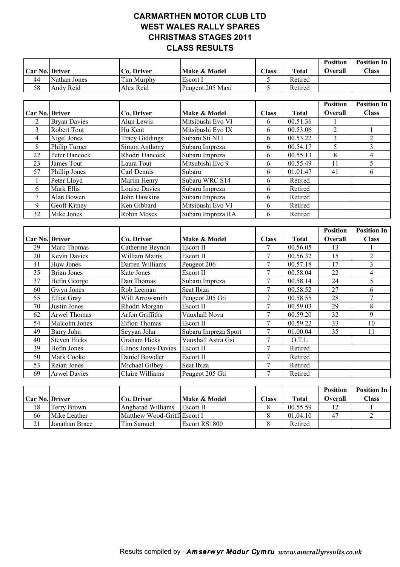### CARMARTHEN MOTOR CLUB LTD WEST WALES RALLY SPARES CHRISTMAS STAGES 2011 CLASS RESULTS

|                |              |            |                  |                |              | <b>Position</b> | <b>Position In</b> |
|----------------|--------------|------------|------------------|----------------|--------------|-----------------|--------------------|
| Car No. Driver |              | Co. Driver | Make & Model     | $\text{Class}$ | <b>Total</b> | Overall         | $\bigcap$ ass      |
| 44             | Nathan Jones | Tim Murphy | Escort I         |                | Retired      |                 |                    |
| 58             | Andy Reid    | Alex Reid  | Peugeot 205 Maxi |                | Retired      |                 |                    |

|                       |                     |                       |                   |              |              | <b>Position</b> | <b>Position In</b> |
|-----------------------|---------------------|-----------------------|-------------------|--------------|--------------|-----------------|--------------------|
| <b>Car No. Driver</b> |                     | Co. Driver            | Make & Model      | <b>Class</b> | <b>Total</b> | <b>Overall</b>  | <b>Class</b>       |
| 2                     | <b>Bryan Davies</b> | Alun Lewis            | Mitsibushi Evo VI | 6            | 00.51.36     |                 |                    |
| 3                     | Robert Tout         | Hu Kent               | Mitsibushi Evo IX | 6            | 00.53.06     | 2               |                    |
| 4                     | Nigel Jones         | <b>Tracy Giddings</b> | Subaru Sti N11    | 6            | 00.53.22     |                 |                    |
| 8                     | Philip Turner       | Simon Anthony         | Subaru Impreza    | 6            | 00.54.17     | 5               |                    |
| 22                    | Peter Hancock       | Rhodri Hancock        | Subaru Impreza    | 6            | 00.55.13     | 8               | 4                  |
| 23                    | James Tout          | Laura Tout            | Mitsubishi Evo 9  | 6            | 00.55.49     | 11              |                    |
| 57                    | Phillip Jones       | Carl Dennis           | Subaru            | 6            | 01.01.47     | 41              | 6                  |
|                       | Peter Lloyd         | Martin Henry          | Subaru WRC S14    | 6            | Retired      |                 |                    |
| 6                     | Mark Ellis          | <b>Louise Davies</b>  | Subaru Impreza    | 6            | Retired      |                 |                    |
|                       | Alan Bowen          | John Hawkins          | Subaru Impreza    | 6            | Retired      |                 |                    |
| 9                     | <b>Geoff Kitney</b> | Ken Gibbard           | Mitsibushi Evo VI | 6            | Retired      |                 |                    |
| 32                    | Mike Jones          | Robin Moses           | Subaru Impreza RA | 6            | Retired      |                 |                    |

|                       |                     |                     |                      |              |              | <b>Position</b> | <b>Position In</b> |
|-----------------------|---------------------|---------------------|----------------------|--------------|--------------|-----------------|--------------------|
| <b>Car No. Driver</b> |                     | Co. Driver          | Make & Model         | <b>Class</b> | <b>Total</b> | Overall         | <b>Class</b>       |
| 29                    | Marc Thomas         | Catherine Beynon    | Escort II            |              | 00.56.05     | 13              |                    |
| 20                    | <b>Kevin Davies</b> | William Mains       | Escort II            |              | 00.56.32     | 15              | 2                  |
| 41                    | Huw Jones           | Darren Williams     | Peugeot 206          |              | 00.57.18     | 17              | 3                  |
| 35                    | <b>Brian Jones</b>  | Kate Jones          | Escort II            | 7            | 00.58.04     | 22              | 4                  |
| 37                    | Hefin George        | Dan Thomas          | Subaru Impreza       |              | 00.58.14     | 24              | 5.                 |
| 60                    | Gwyn Jones          | Rob Leeman          | Seat Ibiza           | 7            | 00.58.52     | 27              | 6                  |
| 55                    | <b>Elliot Gray</b>  | Will Arrowsmith     | Peugeot 205 Gti      | 7            | 00.58.55     | 28              |                    |
| 70                    | Justin Jones        | Rhodri Morgan       | Escort II            |              | 00.59.03     | 29              | 8                  |
| 62                    | Arwel Thomas        | Arfon Griffiths     | Vauxhall Nova        |              | 00.59.20     | 32              | 9                  |
| 54                    | Malcolm Jones       | Eifion Thomas       | Escort II            |              | 00.59.22     | 33              | 10                 |
| 49                    | Barry John          | Seyyan John         | Subaru Impreza Sport |              | 01.00.04     | 35              | 11                 |
| 40                    | <b>Steven Hicks</b> | <b>Graham Hicks</b> | Vauxhall Astra Gsi   |              | 0.T.L        |                 |                    |
| 39                    | Hefin Jones         | Llinos Jones-Davies | Escort II            | 7            | Retired      |                 |                    |
| 50                    | Mark Cooke          | Daniel Bowdler      | Escort II            | 7            | Retired      |                 |                    |
| 53                    | Reian Jones         | Michael Gilbey      | Seat Ibiza           |              | Retired      |                 |                    |
| 69                    | <b>Arwel Davies</b> | Claire Williams     | Peugeot 205 Gti      |              | Retired      |                 |                    |

|                       |                |                              |               |               |          | <b>Position</b> | <b>Position In</b> |
|-----------------------|----------------|------------------------------|---------------|---------------|----------|-----------------|--------------------|
| <b>Car No. Driver</b> |                | Co. Driver                   | Make & Model  | $\bigcap$ ass | Total    | <b>Overall</b>  | <b>Class</b>       |
| 18                    | Terry Brown    | Angharad Williams            | Escort II     |               | 00.55.59 | 12              |                    |
| 66                    | Mike Leather   | Matthew Wood-Griffi Escort I |               |               | 01.04.10 | 47              |                    |
| 21                    | Jonathan Brace | Tim Samuel                   | Escort RS1800 |               | Retired  |                 |                    |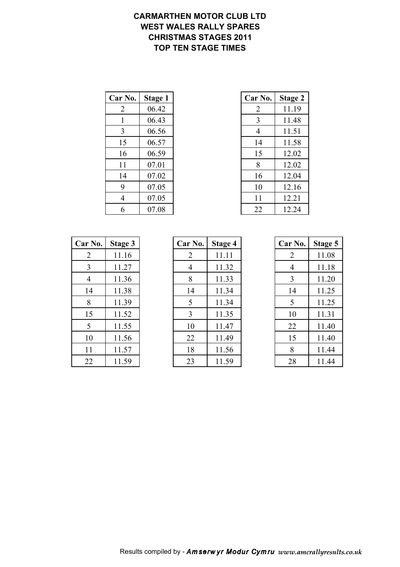#### CARMARTHEN MOTOR CLUB LTD WEST WALES RALLY SPARES CHRISTMAS STAGES 2011 TOP TEN STAGE TIMES

| Car No. | Stage 1 | Car No. | <b>Stage 2</b> |
|---------|---------|---------|----------------|
| 2       | 06.42   | 2       | 11.19          |
|         | 06.43   | 3       | 11.48          |
| 3       | 06.56   | 4       | 11.51          |
| 15      | 06.57   | 14      | 11.58          |
| 16      | 06.59   | 15      | 12.02          |
| 11      | 07.01   | 8       | 12.02          |
| 14      | 07.02   | 16      | 12.04          |
| 9       | 07.05   | 10      | 12.16          |
| 4       | 07.05   | 11      | 12.21          |
| 6       | 07.08   | 22      | 12.24          |

| r No.          | Stage 1 | Car No.        | <b>Stage 2</b> |
|----------------|---------|----------------|----------------|
| 2              | 06.42   | $\overline{2}$ | 11.19          |
| $\mathbf{1}$   | 06.43   | 3              | 11.48          |
| 3              | 06.56   | 4              | 11.51          |
| 15             | 06.57   | 14             | 11.58          |
| 16             | 06.59   | 15             | 12.02          |
| 11             | 07.01   | 8              | 12.02          |
| 14             | 07.02   | 16             | 12.04          |
| 9              | 07.05   | 10             | 12.16          |
| $\overline{4}$ | 07.05   | 11             | 12.21          |
| 6              | 07.08   | 22             | 12.24          |

| Car No. | <b>Stage 3</b> |
|---------|----------------|
| 2       | 11.16          |
| 3       | 11.27          |
| 4       | 11.36          |
| 14      | 11.38          |
| 8       | 11.39          |
| 15      | 11.52          |
| 5       | 11.55          |
| 10      | 11.56          |
| 11      | 11.57          |
| 22      | 11.59          |

| <b>Car No.</b> | Stage 3 | Car No. | Stage 4 | Car No. | Stage 5 |
|----------------|---------|---------|---------|---------|---------|
| 2              | 11.16   | 2       | 11.11   | 2       | 11.08   |
| 3              | 11.27   | 4       | 11.32   | 4       | 11.18   |
| $\overline{4}$ | 11.36   | 8       | 11.33   | 3       | 11.20   |
| 14             | 11.38   | 14      | 11.34   | 14      | 11.25   |
| 8              | 11.39   | 5       | 11.34   | 5       | 11.25   |
| 15             | 11.52   | 3       | 11.35   | 10      | 11.31   |
| 5              | 11.55   | 10      | 11.47   | 22      | 11.40   |
| 10             | 11.56   | 22      | 11.49   | 15      | 11.40   |
| 11             | 11.57   | 18      | 11.56   | 8       | 11.44   |
| 22             | 11.59   | 23      | 11.59   | 28      | 11.44   |

| Car No. | <b>Stage 5</b> |
|---------|----------------|
| 2       | 11.08          |
| 4       | 11.18          |
| 3       | 11.20          |
| 14      | 11.25          |
| 5       | 11.25          |
| 10      | 11.31          |
| 22      | 11.40          |
| 15      | 11.40          |
| 8       | 11.44          |
| 28      | 11 44          |